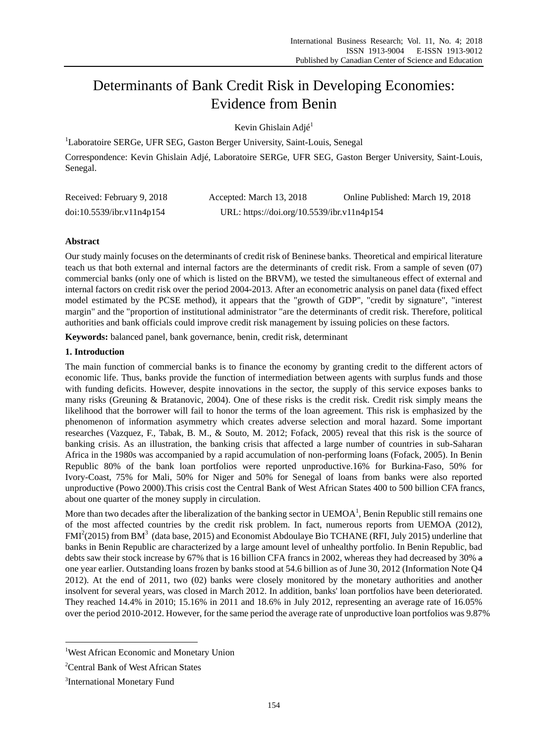# Determinants of Bank Credit Risk in Developing Economies: Evidence from Benin

Kevin Ghislain Adj e

<sup>1</sup>Laboratoire SERGe, UFR SEG, Gaston Berger University, Saint-Louis, Senegal

Correspondence: Kevin Ghislain Adjé, Laboratoire SERGe, UFR SEG, Gaston Berger University, Saint-Louis, Senegal.

| Received: February 9, 2018 | Accepted: March 13, 2018                   | Online Published: March 19, 2018 |
|----------------------------|--------------------------------------------|----------------------------------|
| doi:10.5539/ibr.v11n4p154  | URL: https://doi.org/10.5539/ibr.v11n4p154 |                                  |

# **Abstract**

Our study mainly focuses on the determinants of credit risk of Beninese banks. Theoretical and empirical literature teach us that both external and internal factors are the determinants of credit risk. From a sample of seven (07) commercial banks (only one of which is listed on the BRVM), we tested the simultaneous effect of external and internal factors on credit risk over the period 2004-2013. After an econometric analysis on panel data (fixed effect model estimated by the PCSE method), it appears that the "growth of GDP", "credit by signature", "interest margin" and the "proportion of institutional administrator "are the determinants of credit risk. Therefore, political authorities and bank officials could improve credit risk management by issuing policies on these factors.

**Keywords:** balanced panel, bank governance, benin, credit risk, determinant

## **1. Introduction**

The main function of commercial banks is to finance the economy by granting credit to the different actors of economic life. Thus, banks provide the function of intermediation between agents with surplus funds and those with funding deficits. However, despite innovations in the sector, the supply of this service exposes banks to many risks (Greuning & Bratanovic, 2004). One of these risks is the credit risk. Credit risk simply means the likelihood that the borrower will fail to honor the terms of the loan agreement. This risk is emphasized by the phenomenon of information asymmetry which creates adverse selection and moral hazard. Some important researches (Vazquez, F., Tabak, B. M., & Souto, M. 2012; Fofack, 2005) reveal that this risk is the source of banking crisis. As an illustration, the banking crisis that affected a large number of countries in sub-Saharan Africa in the 1980s was accompanied by a rapid accumulation of non-performing loans (Fofack, 2005). In Benin Republic 80% of the bank loan portfolios were reported unproductive.16% for Burkina-Faso, 50% for Ivory-Coast, 75% for Mali, 50% for Niger and 50% for Senegal of loans from banks were also reported unproductive (Powo 2000).This crisis cost the Central Bank of West African States 400 to 500 billion CFA francs, about one quarter of the money supply in circulation.

More than two decades after the liberalization of the banking sector in  $UEMOA<sup>1</sup>$ , Benin Republic still remains one of the most affected countries by the credit risk problem. In fact, numerous reports from UEMOA (2012),  $FMI<sup>2</sup>(2015)$  from BM<sup>3</sup> (data base, 2015) and Economist Abdoulaye Bio TCHANE (RFI, July 2015) underline that banks in Benin Republic are characterized by a large amount level of unhealthy portfolio. In Benin Republic, bad debts saw their stock increase by 67% that is 16 billion CFA francs in 2002, whereas they had decreased by 30% a one year earlier. Outstanding loans frozen by banks stood at 54.6 billion as of June 30, 2012 (Information Note Q4 2012). At the end of 2011, two (02) banks were closely monitored by the monetary authorities and another insolvent for several years, was closed in March 2012. In addition, banks' loan portfolios have been deteriorated. They reached 14.4% in 2010; 15.16% in 2011 and 18.6% in July 2012, representing an average rate of 16.05% over the period 2010-2012. However, for the same period the average rate of unproductive loan portfolios was 9.87%

-

<sup>1</sup>West African Economic and Monetary Union

<sup>&</sup>lt;sup>2</sup>Central Bank of West African States

<sup>3</sup> International Monetary Fund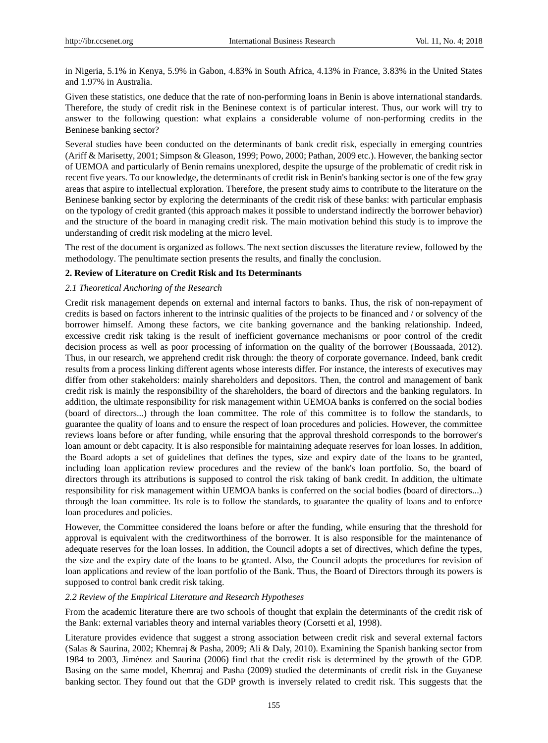in Nigeria, 5.1% in Kenya, 5.9% in Gabon, 4.83% in South Africa, 4.13% in France, 3.83% in the United States and 1.97% in Australia.

Given these statistics, one deduce that the rate of non-performing loans in Benin is above international standards. Therefore, the study of credit risk in the Beninese context is of particular interest. Thus, our work will try to answer to the following question: what explains a considerable volume of non-performing credits in the Beninese banking sector?

Several studies have been conducted on the determinants of bank credit risk, especially in emerging countries (Ariff & Marisetty, 2001; Simpson & Gleason, 1999; Powo, 2000; Pathan, 2009 etc.). However, the banking sector of UEMOA and particularly of Benin remains unexplored, despite the upsurge of the problematic of credit risk in recent five years. To our knowledge, the determinants of credit risk in Benin's banking sector is one of the few gray areas that aspire to intellectual exploration. Therefore, the present study aims to contribute to the literature on the Beninese banking sector by exploring the determinants of the credit risk of these banks: with particular emphasis on the typology of credit granted (this approach makes it possible to understand indirectly the borrower behavior) and the structure of the board in managing credit risk. The main motivation behind this study is to improve the understanding of credit risk modeling at the micro level.

The rest of the document is organized as follows. The next section discusses the literature review, followed by the methodology. The penultimate section presents the results, and finally the conclusion.

#### **2. Review of Literature on Credit Risk and Its Determinants**

## *2.1 Theoretical Anchoring of the Research*

Credit risk management depends on external and internal factors to banks. Thus, the risk of non-repayment of credits is based on factors inherent to the intrinsic qualities of the projects to be financed and / or solvency of the borrower himself. Among these factors, we cite banking governance and the banking relationship. Indeed, excessive credit risk taking is the result of inefficient governance mechanisms or poor control of the credit decision process as well as poor processing of information on the quality of the borrower (Boussaada, 2012). Thus, in our research, we apprehend credit risk through: the theory of corporate governance. Indeed, bank credit results from a process linking different agents whose interests differ. For instance, the interests of executives may differ from other stakeholders: mainly shareholders and depositors. Then, the control and management of bank credit risk is mainly the responsibility of the shareholders, the board of directors and the banking regulators. In addition, the ultimate responsibility for risk management within UEMOA banks is conferred on the social bodies (board of directors...) through the loan committee. The role of this committee is to follow the standards, to guarantee the quality of loans and to ensure the respect of loan procedures and policies. However, the committee reviews loans before or after funding, while ensuring that the approval threshold corresponds to the borrower's loan amount or debt capacity. It is also responsible for maintaining adequate reserves for loan losses. In addition, the Board adopts a set of guidelines that defines the types, size and expiry date of the loans to be granted, including loan application review procedures and the review of the bank's loan portfolio. So, the board of directors through its attributions is supposed to control the risk taking of bank credit. In addition, the ultimate responsibility for risk management within UEMOA banks is conferred on the social bodies (board of directors...) through the loan committee. Its role is to follow the standards, to guarantee the quality of loans and to enforce loan procedures and policies.

However, the Committee considered the loans before or after the funding, while ensuring that the threshold for approval is equivalent with the creditworthiness of the borrower. It is also responsible for the maintenance of adequate reserves for the loan losses. In addition, the Council adopts a set of directives, which define the types, the size and the expiry date of the loans to be granted. Also, the Council adopts the procedures for revision of loan applications and review of the loan portfolio of the Bank. Thus, the Board of Directors through its powers is supposed to control bank credit risk taking.

## *2.2 Review of the Empirical Literature and Research Hypotheses*

From the academic literature there are two schools of thought that explain the determinants of the credit risk of the Bank: external variables theory and internal variables theory (Corsetti et al, 1998).

Literature provides evidence that suggest a strong association between credit risk and several external factors (Salas & Saurina, 2002; Khemraj & Pasha, 2009; Ali & Daly, 2010). Examining the Spanish banking sector from 1984 to 2003, Jiménez and Saurina (2006) find that the credit risk is determined by the growth of the GDP. Basing on the same model, Khemraj and Pasha (2009) studied the determinants of credit risk in the Guyanese banking sector. They found out that the GDP growth is inversely related to credit risk. This suggests that the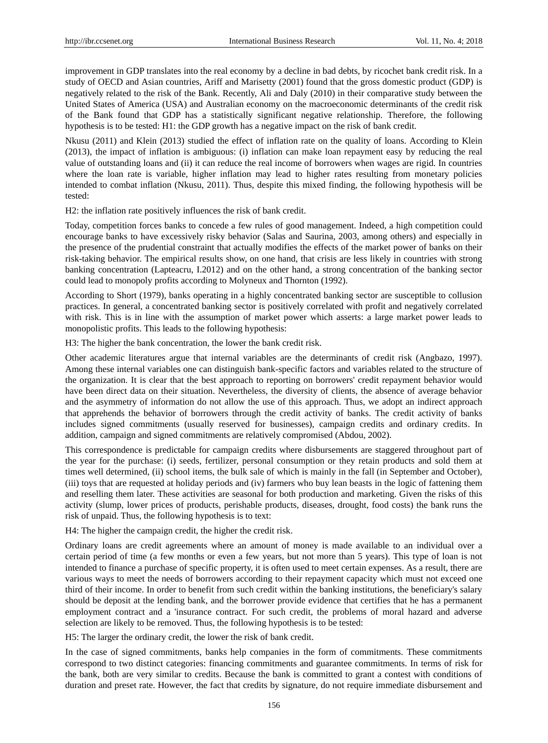improvement in GDP translates into the real economy by a decline in bad debts, by ricochet bank credit risk. In a study of OECD and Asian countries, Ariff and Marisetty (2001) found that the gross domestic product (GDP) is negatively related to the risk of the Bank. Recently, Ali and Daly (2010) in their comparative study between the United States of America (USA) and Australian economy on the macroeconomic determinants of the credit risk of the Bank found that GDP has a statistically significant negative relationship. Therefore, the following hypothesis is to be tested: H1: the GDP growth has a negative impact on the risk of bank credit.

Nkusu (2011) and Klein (2013) studied the effect of inflation rate on the quality of loans. According to Klein (2013), the impact of inflation is ambiguous: (i) inflation can make loan repayment easy by reducing the real value of outstanding loans and (ii) it can reduce the real income of borrowers when wages are rigid. In countries where the loan rate is variable, higher inflation may lead to higher rates resulting from monetary policies intended to combat inflation (Nkusu, 2011). Thus, despite this mixed finding, the following hypothesis will be tested:

H2: the inflation rate positively influences the risk of bank credit.

Today, competition forces banks to concede a few rules of good management. Indeed, a high competition could encourage banks to have excessively risky behavior (Salas and Saurina, 2003, among others) and especially in the presence of the prudential constraint that actually modifies the effects of the market power of banks on their risk-taking behavior. The empirical results show, on one hand, that crisis are less likely in countries with strong banking concentration (Lapteacru, I.2012) and on the other hand, a strong concentration of the banking sector could lead to monopoly profits according to Molyneux and Thornton (1992).

According to Short (1979), banks operating in a highly concentrated banking sector are susceptible to collusion practices. In general, a concentrated banking sector is positively correlated with profit and negatively correlated with risk. This is in line with the assumption of market power which asserts: a large market power leads to monopolistic profits. This leads to the following hypothesis:

H3: The higher the bank concentration, the lower the bank credit risk.

Other academic literatures argue that internal variables are the determinants of credit risk (Angbazo, 1997). Among these internal variables one can distinguish bank-specific factors and variables related to the structure of the organization. It is clear that the best approach to reporting on borrowers' credit repayment behavior would have been direct data on their situation. Nevertheless, the diversity of clients, the absence of average behavior and the asymmetry of information do not allow the use of this approach. Thus, we adopt an indirect approach that apprehends the behavior of borrowers through the credit activity of banks. The credit activity of banks includes signed commitments (usually reserved for businesses), campaign credits and ordinary credits. In addition, campaign and signed commitments are relatively compromised (Abdou, 2002).

This correspondence is predictable for campaign credits where disbursements are staggered throughout part of the year for the purchase: (i) seeds, fertilizer, personal consumption or they retain products and sold them at times well determined, (ii) school items, the bulk sale of which is mainly in the fall (in September and October), (iii) toys that are requested at holiday periods and (iv) farmers who buy lean beasts in the logic of fattening them and reselling them later. These activities are seasonal for both production and marketing. Given the risks of this activity (slump, lower prices of products, perishable products, diseases, drought, food costs) the bank runs the risk of unpaid. Thus, the following hypothesis is to text:

H4: The higher the campaign credit, the higher the credit risk.

Ordinary loans are credit agreements where an amount of money is made available to an individual over a certain period of time (a few months or even a few years, but not more than 5 years). This type of loan is not intended to finance a purchase of specific property, it is often used to meet certain expenses. As a result, there are various ways to meet the needs of borrowers according to their repayment capacity which must not exceed one third of their income. In order to benefit from such credit within the banking institutions, the beneficiary's salary should be deposit at the lending bank, and the borrower provide evidence that certifies that he has a permanent employment contract and a 'insurance contract. For such credit, the problems of moral hazard and adverse selection are likely to be removed. Thus, the following hypothesis is to be tested:

H5: The larger the ordinary credit, the lower the risk of bank credit.

In the case of signed commitments, banks help companies in the form of commitments. These commitments correspond to two distinct categories: financing commitments and guarantee commitments. In terms of risk for the bank, both are very similar to credits. Because the bank is committed to grant a contest with conditions of duration and preset rate. However, the fact that credits by signature, do not require immediate disbursement and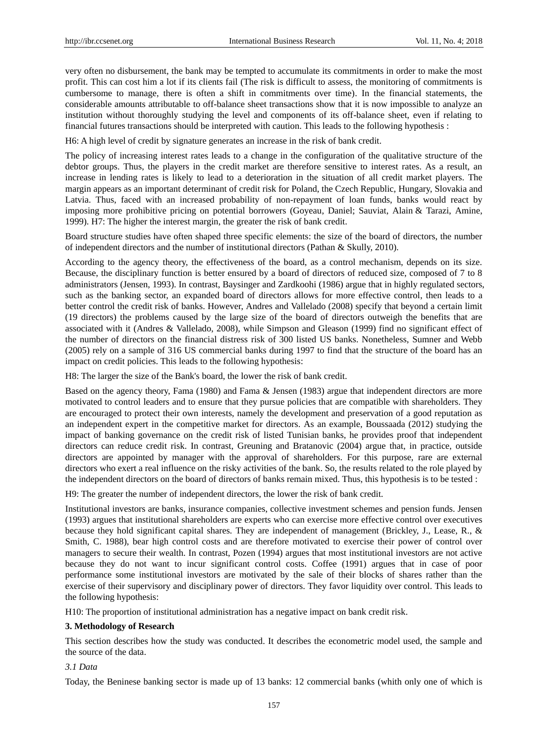very often no disbursement, the bank may be tempted to accumulate its commitments in order to make the most profit. This can cost him a lot if its clients fail (The risk is difficult to assess, the monitoring of commitments is cumbersome to manage, there is often a shift in commitments over time). In the financial statements, the considerable amounts attributable to off-balance sheet transactions show that it is now impossible to analyze an institution without thoroughly studying the level and components of its off-balance sheet, even if relating to financial futures transactions should be interpreted with caution. This leads to the following hypothesis :

H6: A high level of credit by signature generates an increase in the risk of bank credit.

The policy of increasing interest rates leads to a change in the configuration of the qualitative structure of the debtor groups. Thus, the players in the credit market are therefore sensitive to interest rates. As a result, an increase in lending rates is likely to lead to a deterioration in the situation of all credit market players. The margin appears as an important determinant of credit risk for Poland, the Czech Republic, Hungary, Slovakia and Latvia. Thus, faced with an increased probability of non-repayment of loan funds, banks would react by imposing more prohibitive pricing on potential borrowers (Goyeau, Daniel; Sauviat, Alain & Tarazi, Amine, 1999). H7: The higher the interest margin, the greater the risk of bank credit.

Board structure studies have often shaped three specific elements: the size of the board of directors, the number of independent directors and the number of institutional directors (Pathan & Skully, 2010).

According to the agency theory, the effectiveness of the board, as a control mechanism, depends on its size. Because, the disciplinary function is better ensured by a board of directors of reduced size, composed of 7 to 8 administrators (Jensen, 1993). In contrast, Baysinger and Zardkoohi (1986) argue that in highly regulated sectors, such as the banking sector, an expanded board of directors allows for more effective control, then leads to a better control the credit risk of banks. However, Andres and Vallelado (2008) specify that beyond a certain limit (19 directors) the problems caused by the large size of the board of directors outweigh the benefits that are associated with it (Andres & Vallelado, 2008), while Simpson and Gleason (1999) find no significant effect of the number of directors on the financial distress risk of 300 listed US banks. Nonetheless, Sumner and Webb (2005) rely on a sample of 316 US commercial banks during 1997 to find that the structure of the board has an impact on credit policies. This leads to the following hypothesis:

H8: The larger the size of the Bank's board, the lower the risk of bank credit.

Based on the agency theory, Fama (1980) and Fama & Jensen (1983) argue that independent directors are more motivated to control leaders and to ensure that they pursue policies that are compatible with shareholders. They are encouraged to protect their own interests, namely the development and preservation of a good reputation as an independent expert in the competitive market for directors. As an example, Boussaada (2012) studying the impact of banking governance on the credit risk of listed Tunisian banks, he provides proof that independent directors can reduce credit risk. In contrast, Greuning and Bratanovic (2004) argue that, in practice, outside directors are appointed by manager with the approval of shareholders. For this purpose, rare are external directors who exert a real influence on the risky activities of the bank. So, the results related to the role played by the independent directors on the board of directors of banks remain mixed. Thus, this hypothesis is to be tested :

H9: The greater the number of independent directors, the lower the risk of bank credit.

Institutional investors are banks, insurance companies, collective investment schemes and pension funds. Jensen (1993) argues that institutional shareholders are experts who can exercise more effective control over executives because they hold significant capital shares. They are independent of management (Brickley, J., Lease, R., & Smith, C. 1988), bear high control costs and are therefore motivated to exercise their power of control over managers to secure their wealth. In contrast, Pozen (1994) argues that most institutional investors are not active because they do not want to incur significant control costs. Coffee (1991) argues that in case of poor performance some institutional investors are motivated by the sale of their blocks of shares rather than the exercise of their supervisory and disciplinary power of directors. They favor liquidity over control. This leads to the following hypothesis:

H10: The proportion of institutional administration has a negative impact on bank credit risk.

## **3. Methodology of Research**

This section describes how the study was conducted. It describes the econometric model used, the sample and the source of the data.

## *3.1 Data*

Today, the Beninese banking sector is made up of 13 banks: 12 commercial banks (whith only one of which is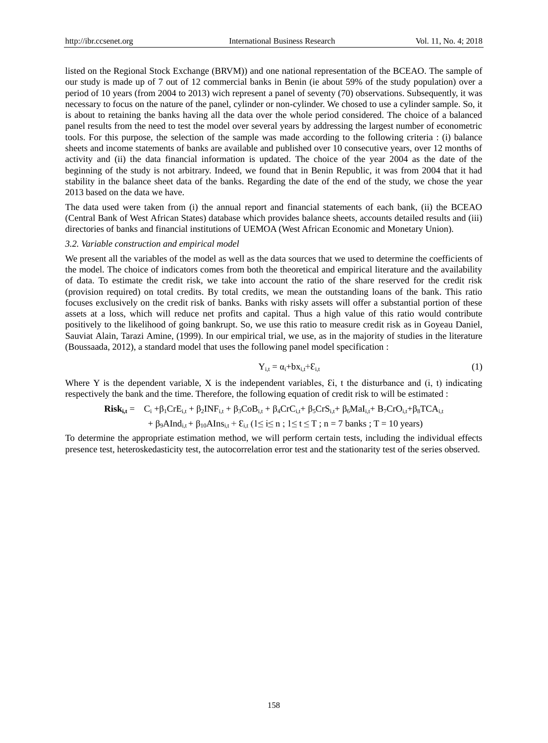listed on the Regional Stock Exchange (BRVM)) and one national representation of the BCEAO. The sample of our study is made up of 7 out of 12 commercial banks in Benin (ie about 59% of the study population) over a period of 10 years (from 2004 to 2013) wich represent a panel of seventy (70) observations. Subsequently, it was necessary to focus on the nature of the panel, cylinder or non-cylinder. We chosed to use a cylinder sample. So, it is about to retaining the banks having all the data over the whole period considered. The choice of a balanced panel results from the need to test the model over several years by addressing the largest number of econometric tools. For this purpose, the selection of the sample was made according to the following criteria : (i) balance sheets and income statements of banks are available and published over 10 consecutive years, over 12 months of activity and (ii) the data financial information is updated. The choice of the year 2004 as the date of the beginning of the study is not arbitrary. Indeed, we found that in Benin Republic, it was from 2004 that it had stability in the balance sheet data of the banks. Regarding the date of the end of the study, we chose the year 2013 based on the data we have.

The data used were taken from (i) the annual report and financial statements of each bank, (ii) the BCEAO (Central Bank of West African States) database which provides balance sheets, accounts detailed results and (iii) directories of banks and financial institutions of UEMOA (West African Economic and Monetary Union).

#### *3.2. Variable construction and empirical model*

We present all the variables of the model as well as the data sources that we used to determine the coefficients of the model. The choice of indicators comes from both the theoretical and empirical literature and the availability of data. To estimate the credit risk, we take into account the ratio of the share reserved for the credit risk (provision required) on total credits. By total credits, we mean the outstanding loans of the bank. This ratio focuses exclusively on the credit risk of banks. Banks with risky assets will offer a substantial portion of these assets at a loss, which will reduce net profits and capital. Thus a high value of this ratio would contribute positively to the likelihood of going bankrupt. So, we use this ratio to measure credit risk as in Goyeau Daniel, Sauviat Alain, Tarazi Amine, (1999). In our empirical trial, we use, as in the majority of studies in the literature (Boussaada, 2012), a standard model that uses the following panel model specification :

$$
Y_{i,t} = \alpha_i + bx_{i,t} + \varepsilon_{i,t}
$$
 (1)

Where Y is the dependent variable, X is the independent variables,  $\mathcal{E}$ i, t the disturbance and  $(i, t)$  indicating respectively the bank and the time. Therefore, the following equation of credit risk to will be estimated :

$$
\begin{aligned} \mathbf{Risk_{i,t}} &= C_i + \beta_1 \mathbf{CrE_{i,t}} + \beta_2 \mathbf{INF_{i,t}} + \beta_3 \mathbf{CoB_{i,t}} + \beta_4 \mathbf{CrC_{i,t}} + \beta_5 \mathbf{CrS_{i,t}} + \beta_6 \mathbf{Mal_{i,t}} + \mathbf{B}_7 \mathbf{CrO_{i,t}} + \beta_8 \mathbf{TCA_{i,t}} \\ &+ \beta_9 \mathbf{Alnd_{i,t}} + \beta_{10} \mathbf{Alns_{i,t}} + \mathbf{\epsilon}_{i,t} \ (1 \leq i \leq n \ ; \ 1 \leq t \leq T \ ; \ n = 7 \ \text{banks} \ ; \ T = 10 \ \text{years}) \end{aligned}
$$

To determine the appropriate estimation method, we will perform certain tests, including the individual effects presence test, heteroskedasticity test, the autocorrelation error test and the stationarity test of the series observed.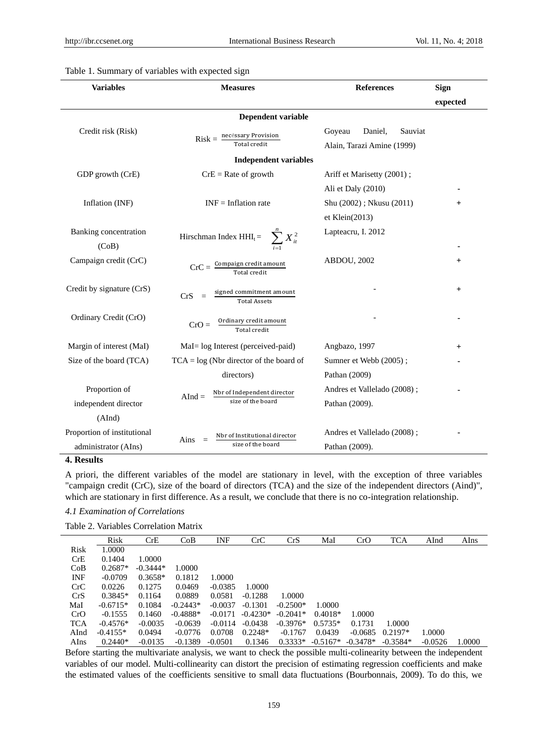| <b>Variables</b>            | <b>Measures</b>                                             | <b>References</b>            | Sign           |  |  |  |  |
|-----------------------------|-------------------------------------------------------------|------------------------------|----------------|--|--|--|--|
|                             |                                                             |                              | expected       |  |  |  |  |
| Dependent variable          |                                                             |                              |                |  |  |  |  |
| Credit risk (Risk)          |                                                             | Daniel,<br>Sauviat<br>Goyeau |                |  |  |  |  |
|                             | $Risk = \frac{necessary \, provision}{Total \, credit}$     | Alain, Tarazi Amine (1999)   |                |  |  |  |  |
|                             | <b>Independent variables</b>                                |                              |                |  |  |  |  |
| GDP growth (CrE)            | $CrE = Rate of growth$                                      | Ariff et Marisetty (2001);   |                |  |  |  |  |
|                             |                                                             | Ali et Daly (2010)           |                |  |  |  |  |
| Inflation (INF)             | $INF = Inflation rate$                                      | Shu (2002); Nkusu (2011)     | $\overline{+}$ |  |  |  |  |
|                             |                                                             | et Klein $(2013)$            |                |  |  |  |  |
| Banking concentration       | Hirschman Index HHI <sub>t</sub> = $\sum_{it}^{n} X_{it}^2$ | Lapteacru, I. 2012           |                |  |  |  |  |
| (CoB)                       |                                                             |                              |                |  |  |  |  |
| Campaign credit (CrC)       | $CrC = \frac{Compar\, credit\, amount}{Total\, credit}$     | ABDOU, 2002                  | $\overline{+}$ |  |  |  |  |
| Credit by signature (CrS)   | signed commitment amount<br>CrS<br><b>Total Assets</b>      |                              | $+$            |  |  |  |  |
| Ordinary Credit (CrO)       | Ordinary credit amount<br>$CrO =$<br><b>Total credit</b>    |                              |                |  |  |  |  |
| Margin of interest (MaI)    | MaI= log Interest (perceived-paid)                          | Angbazo, 1997                | $\ddot{}$      |  |  |  |  |
| Size of the board (TCA)     | $TCA = log (Nbr$ director of the board of                   | Sumner et Webb (2005);       |                |  |  |  |  |
|                             | directors)                                                  | Pathan (2009)                |                |  |  |  |  |
| Proportion of               | Nbr of Independent director                                 | Andres et Vallelado (2008);  |                |  |  |  |  |
| independent director        | $Alnd =$<br>size of the board                               | Pathan (2009).               |                |  |  |  |  |
| (AInd)                      |                                                             |                              |                |  |  |  |  |
| Proportion of institutional | Nbr of Institutional director                               | Andres et Vallelado (2008);  |                |  |  |  |  |
| administrator (AIns)        | Ains<br>size of the board                                   | Pathan (2009).               |                |  |  |  |  |

## Table 1. Summary of variables with expected sign

## **4. Results**

A priori, the different variables of the model are stationary in level, with the exception of three variables "campaign credit (CrC), size of the board of directors (TCA) and the size of the independent directors (Aind)", which are stationary in first difference. As a result, we conclude that there is no co-integration relationship.

## *4.1 Examination of Correlations*

|            | Risk       | CrE        | CoB        | <b>INF</b> | CrC        | CrS        | MaI        | CrO        | <b>TCA</b> | AInd      | AIns   |
|------------|------------|------------|------------|------------|------------|------------|------------|------------|------------|-----------|--------|
| Risk       | 1.0000     |            |            |            |            |            |            |            |            |           |        |
| CrE        | 0.1404     | 1.0000     |            |            |            |            |            |            |            |           |        |
| CoB        | $0.2687*$  | $-0.3444*$ | 1.0000     |            |            |            |            |            |            |           |        |
| <b>INF</b> | $-0.0709$  | $0.3658*$  | 0.1812     | 1.0000     |            |            |            |            |            |           |        |
| CrC        | 0.0226     | 0.1275     | 0.0469     | $-0.0385$  | 1.0000     |            |            |            |            |           |        |
| CrS        | $0.3845*$  | 0.1164     | 0.0889     | 0.0581     | $-0.1288$  | 1.0000     |            |            |            |           |        |
| MaI        | $-0.6715*$ | 0.1084     | $-0.2443*$ | $-0.0037$  | $-0.1301$  | $-0.2500*$ | 1.0000     |            |            |           |        |
| CrO        | $-0.1555$  | 0.1460     | $-0.4888*$ | $-0.0171$  | $-0.4230*$ | $-0.2041*$ | $0.4018*$  | 1.0000     |            |           |        |
| <b>TCA</b> | $-0.4576*$ | $-0.0035$  | $-0.0639$  | $-0.0114$  | $-0.0438$  | $-0.3976*$ | $0.5735*$  | 0.1731     | 1.0000     |           |        |
| AInd       | $-0.4155*$ | 0.0494     | $-0.0776$  | 0.0708     | $0.2248*$  | $-0.1767$  | 0.0439     | $-0.0685$  | $0.2197*$  | 1.0000    |        |
| AIns       | $0.2440*$  | $-0.0135$  | $-0.1389$  | $-0.0501$  | 0.1346     | $0.3333*$  | $-0.5167*$ | $-0.3478*$ | $-0.3584*$ | $-0.0526$ | 1.0000 |

Before starting the multivariate analysis, we want to check the possible multi-colinearity between the independent variables of our model. Multi-collinearity can distort the precision of estimating regression coefficients and make the estimated values of the coefficients sensitive to small data fluctuations (Bourbonnais, 2009). To do this, we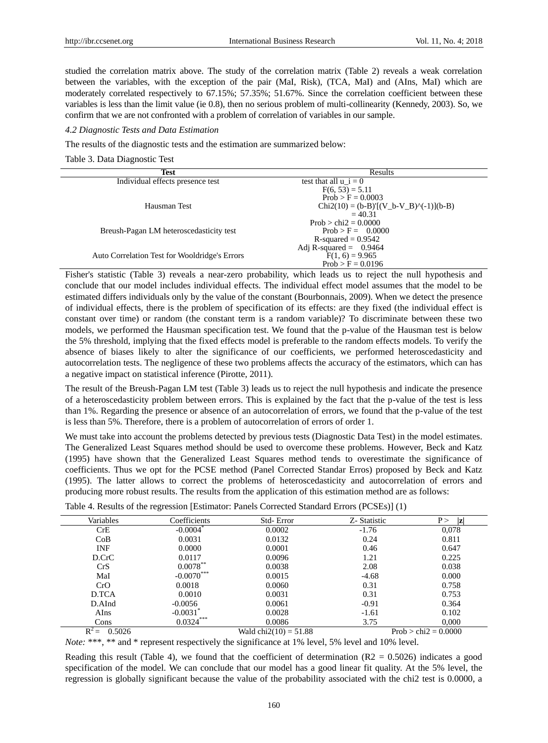studied the correlation matrix above. The study of the correlation matrix (Table 2) reveals a weak correlation between the variables, with the exception of the pair (MaI, Risk), (TCA, MaI) and (AIns, MaI) which are moderately correlated respectively to 67.15%; 57.35%; 51.67%. Since the correlation coefficient between these variables is less than the limit value (ie 0.8), then no serious problem of multi-collinearity (Kennedy, 2003). So, we confirm that we are not confronted with a problem of correlation of variables in our sample.

#### *4.2 Diagnostic Tests and Data Estimation*

The results of the diagnostic tests and the estimation are summarized below:

Table 3. Data Diagnostic Test

| Test                                          | Results                                  |
|-----------------------------------------------|------------------------------------------|
| Individual effects presence test              | test that all $u$ i = 0                  |
|                                               | $F(6, 53) = 5.11$                        |
|                                               | $Prob > F = 0.0003$                      |
| Hausman Test                                  | $Chi2(10) = (b-B) [(V_b-V_B)^(-1)](b-B)$ |
|                                               | $= 40.31$                                |
|                                               | Prob $>$ chi2 = 0.0000                   |
| Breush-Pagan LM heteroscedasticity test       | $Prob > F = 0.0000$                      |
|                                               | $R$ -squared = 0.9542                    |
|                                               | Adj R-squared = $0.9464$                 |
| Auto Correlation Test for Wooldridge's Errors | $F(1, 6) = 9.965$                        |
|                                               | $Prob > F = 0.0196$                      |
|                                               |                                          |

Fisher's statistic (Table 3) reveals a near-zero probability, which leads us to reject the null hypothesis and conclude that our model includes individual effects. The individual effect model assumes that the model to be estimated differs individuals only by the value of the constant (Bourbonnais, 2009). When we detect the presence of individual effects, there is the problem of specification of its effects: are they fixed (the individual effect is constant over time) or random (the constant term is a random variable)? To discriminate between these two models, we performed the Hausman specification test. We found that the p-value of the Hausman test is below the 5% threshold, implying that the fixed effects model is preferable to the random effects models. To verify the absence of biases likely to alter the significance of our coefficients, we performed heteroscedasticity and autocorrelation tests. The negligence of these two problems affects the accuracy of the estimators, which can has a negative impact on statistical inference (Pirotte, 2011).

The result of the Breush-Pagan LM test (Table 3) leads us to reject the null hypothesis and indicate the presence of a heteroscedasticity problem between errors. This is explained by the fact that the p-value of the test is less than 1%. Regarding the presence or absence of an autocorrelation of errors, we found that the p-value of the test is less than 5%. Therefore, there is a problem of autocorrelation of errors of order 1.

We must take into account the problems detected by previous tests (Diagnostic Data Test) in the model estimates. The Generalized Least Squares method should be used to overcome these problems. However, Beck and Katz (1995) have shown that the Generalized Least Squares method tends to overestimate the significance of coefficients. Thus we opt for the PCSE method (Panel Corrected Standar Erros) proposed by Beck and Katz (1995). The latter allows to correct the problems of heteroscedasticity and autocorrelation of errors and producing more robust results. The results from the application of this estimation method are as follows:

| Variables         | Coefficients           | Std-Error                | Z-Statistic | P ><br> z              |
|-------------------|------------------------|--------------------------|-------------|------------------------|
| CrE               | $-0.0004^*$            | 0.0002                   | $-1.76$     | 0,078                  |
| CoB               | 0.0031                 | 0.0132                   | 0.24        | 0.811                  |
| <b>INF</b>        | 0.0000                 | 0.0001                   | 0.46        | 0.647                  |
| D.CrC             | 0.0117                 | 0.0096                   | 1.21        | 0.225                  |
| CrS               | $0.0078^{**}$          | 0.0038                   | 2.08        | 0.038                  |
| MaI               | $-0.0070***$           | 0.0015                   | $-4.68$     | 0.000                  |
| CrO               | 0.0018                 | 0.0060                   | 0.31        | 0.758                  |
| D.TCA             | 0.0010                 | 0.0031                   | 0.31        | 0.753                  |
| D.AInd            | $-0.0056$              | 0.0061                   | $-0.91$     | 0.364                  |
| AIns              | $-0.0031$ <sup>*</sup> | 0.0028                   | $-1.61$     | 0.102                  |
| Cons              | $0.0324***$            | 0.0086                   | 3.75        | 0,000                  |
| 0.5026<br>$R^2 =$ |                        | Wald chi $2(10) = 51.88$ |             | $Prob > chi2 = 0.0000$ |

Table 4. Results of the regression [Estimator: Panels Corrected Standard Errors (PCSEs)] (1)

*Note:* \*\*\*, \*\* and \* represent respectively the significance at 1% level, 5% level and 10% level.

Reading this result (Table 4), we found that the coefficient of determination  $(R2 = 0.5026)$  indicates a good specification of the model. We can conclude that our model has a good linear fit quality. At the 5% level, the regression is globally significant because the value of the probability associated with the chi2 test is 0.0000, a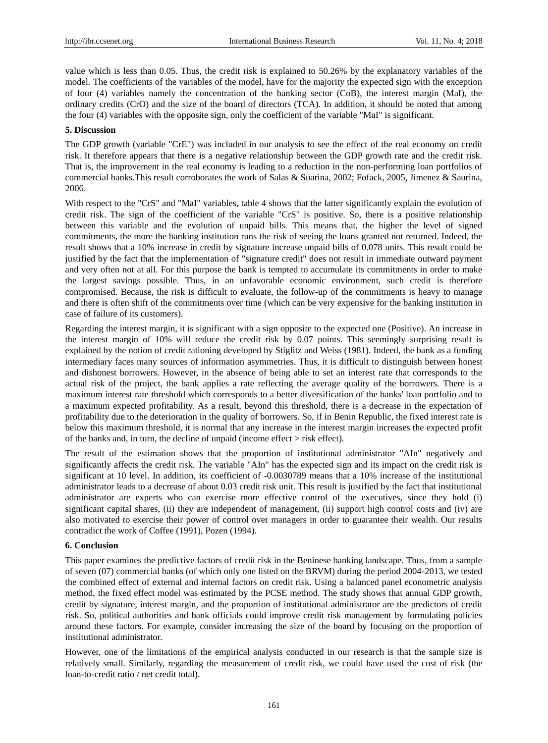value which is less than 0.05. Thus, the credit risk is explained to 50.26% by the explanatory variables of the model. The coefficients of the variables of the model, have for the majority the expected sign with the exception of four (4) variables namely the concentration of the banking sector (CoB), the interest margin (MaI), the ordinary credits (CrO) and the size of the board of directors (TCA). In addition, it should be noted that among the four (4) variables with the opposite sign, only the coefficient of the variable "MaI" is significant.

## **5. Discussion**

The GDP growth (variable "CrE") was included in our analysis to see the effect of the real economy on credit risk. It therefore appears that there is a negative relationship between the GDP growth rate and the credit risk. That is, the improvement in the real economy is leading to a reduction in the non-performing loan portfolios of commercial banks.This result corroborates the work of Salas & Suarina, 2002; Fofack, 2005, Jimenez & Saurina, 2006.

With respect to the "CrS" and "MaI" variables, table 4 shows that the latter significantly explain the evolution of credit risk. The sign of the coefficient of the variable "CrS" is positive. So, there is a positive relationship between this variable and the evolution of unpaid bills. This means that, the higher the level of signed commitments, the more the banking institution runs the risk of seeing the loans granted not returned. Indeed, the result shows that a 10% increase in credit by signature increase unpaid bills of 0.078 units. This result could be justified by the fact that the implementation of "signature credit" does not result in immediate outward payment and very often not at all. For this purpose the bank is tempted to accumulate its commitments in order to make the largest savings possible. Thus, in an unfavorable economic environment, such credit is therefore compromised. Because, the risk is difficult to evaluate, the follow-up of the commitments is heavy to manage and there is often shift of the commitments over time (which can be very expensive for the banking institution in case of failure of its customers).

Regarding the interest margin, it is significant with a sign opposite to the expected one (Positive). An increase in the interest margin of 10% will reduce the credit risk by 0.07 points. This seemingly surprising result is explained by the notion of credit rationing developed by Stiglitz and Weiss (1981). Indeed, the bank as a funding intermediary faces many sources of information asymmetries. Thus, it is difficult to distinguish between honest and dishonest borrowers. However, in the absence of being able to set an interest rate that corresponds to the actual risk of the project, the bank applies a rate reflecting the average quality of the borrowers. There is a maximum interest rate threshold which corresponds to a better diversification of the banks' loan portfolio and to a maximum expected profitability. As a result, beyond this threshold, there is a decrease in the expectation of profitability due to the deterioration in the quality of borrowers. So, if in Benin Republic, the fixed interest rate is below this maximum threshold, it is normal that any increase in the interest margin increases the expected profit of the banks and, in turn, the decline of unpaid (income effect > risk effect).

The result of the estimation shows that the proportion of institutional administrator "AIn" negatively and significantly affects the credit risk. The variable "AIn" has the expected sign and its impact on the credit risk is significant at 10 level. In addition, its coefficient of -0.0030789 means that a 10% increase of the institutional administrator leads to a decrease of about 0.03 credit risk unit. This result is justified by the fact that institutional administrator are experts who can exercise more effective control of the executives, since they hold (i) significant capital shares, (ii) they are independent of management, (ii) support high control costs and (iv) are also motivated to exercise their power of control over managers in order to guarantee their wealth. Our results contradict the work of Coffee (1991), Pozen (1994).

## **6. Conclusion**

This paper examines the predictive factors of credit risk in the Beninese banking landscape. Thus, from a sample of seven (07) commercial banks (of which only one listed on the BRVM) during the period 2004-2013, we tested the combined effect of external and internal factors on credit risk. Using a balanced panel econometric analysis method, the fixed effect model was estimated by the PCSE method. The study shows that annual GDP growth, credit by signature, interest margin, and the proportion of institutional administrator are the predictors of credit risk. So, political authorities and bank officials could improve credit risk management by formulating policies around these factors. For example, consider increasing the size of the board by focusing on the proportion of institutional administrator.

However, one of the limitations of the empirical analysis conducted in our research is that the sample size is relatively small. Similarly, regarding the measurement of credit risk, we could have used the cost of risk (the loan-to-credit ratio / net credit total).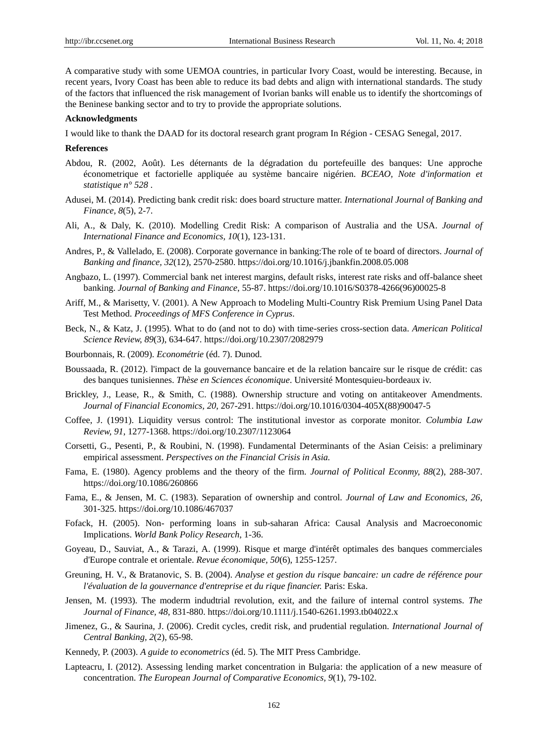A comparative study with some UEMOA countries, in particular Ivory Coast, would be interesting. Because, in recent years, Ivory Coast has been able to reduce its bad debts and align with international standards. The study of the factors that influenced the risk management of Ivorian banks will enable us to identify the shortcomings of the Beninese banking sector and to try to provide the appropriate solutions.

#### **Acknowledgments**

I would like to thank the DAAD for its doctoral research grant program In Région - CESAG Senegal, 2017.

#### **References**

- Abdou, R. (2002, Août). Les déternants de la dégradation du portefeuille des banques: Une approche économetrique et factorielle appliquée au système bancaire nigérien. *BCEAO, Note d'information et statistique n° 528* .
- Adusei, M. (2014). Predicting bank credit risk: does board structure matter. *International Journal of Banking and Finance, 8*(5), 2-7.
- Ali, A., & Daly, K. (2010). Modelling Credit Risk: A comparison of Australia and the USA. *Journal of International Finance and Economics, 10*(1), 123-131.
- Andres, P., & Vallelado, E. (2008). Corporate governance in banking:The role of te board of directors. *Journal of Banking and finance, 32*(12), 2570-2580. https://doi.org/10.1016/j.jbankfin.2008.05.008
- Angbazo, L. (1997). Commercial bank net interest margins, default risks, interest rate risks and off-balance sheet banking. *Journal of Banking and Finance*, 55-87. https://doi.org/10.1016/S0378-4266(96)00025-8
- Ariff, M., & Marisetty, V. (2001). A New Approach to Modeling Multi-Country Risk Premium Using Panel Data Test Method. *Proceedings of MFS Conference in Cyprus*.
- Beck, N., & Katz, J. (1995). What to do (and not to do) with time-series cross-section data. *American Political Science Review, 89*(3), 634-647. https://doi.org/10.2307/2082979
- Bourbonnais, R. (2009). *Econométrie* (éd. 7). Dunod.
- Boussaada, R. (2012). l'impact de la gouvernance bancaire et de la relation bancaire sur le risque de crédit: cas des banques tunisiennes. *Thèse en Sciences économique*. Université Montesquieu-bordeaux iv.
- Brickley, J., Lease, R., & Smith, C. (1988). Ownership structure and voting on antitakeover Amendments. *Journal of Financial Economics, 20*, 267-291. https://doi.org/10.1016/0304-405X(88)90047-5
- Coffee, J. (1991). Liquidity versus control: The institutional investor as corporate monitor. *Columbia Law Review, 91*, 1277-1368. https://doi.org/10.2307/1123064
- Corsetti, G., Pesenti, P., & Roubini, N. (1998). Fundamental Determinants of the Asian Ceisis: a preliminary empirical assessment. *Perspectives on the Financial Crisis in Asia.*
- Fama, E. (1980). Agency problems and the theory of the firm. *Journal of Political Econmy, 88*(2), 288-307. https://doi.org/10.1086/260866
- Fama, E., & Jensen, M. C. (1983). Separation of ownership and control. *Journal of Law and Economics, 26*, 301-325. https://doi.org/10.1086/467037
- Fofack, H. (2005). Non- performing loans in sub-saharan Africa: Causal Analysis and Macroeconomic Implications. *World Bank Policy Research*, 1-36.
- Goyeau, D., Sauviat, A., & Tarazi, A. (1999). Risque et marge d'intérêt optimales des banques commerciales d'Europe contrale et orientale. *Revue économique, 50*(6), 1255-1257.
- Greuning, H. V., & Bratanovic, S. B. (2004). *Analyse et gestion du risque bancaire: un cadre de référence pour l'évaluation de la gouvernance d'entreprise et du rique financier.* Paris: Eska.
- Jensen, M. (1993). The moderm indudtrial revolution, exit, and the failure of internal control systems. *The Journal of Finance, 48*, 831-880. https://doi.org/10.1111/j.1540-6261.1993.tb04022.x
- Jimenez, G., & Saurina, J. (2006). Credit cycles, credit risk, and prudential regulation. *International Journal of Central Banking, 2*(2), 65-98.
- Kennedy, P. (2003). *A guide to econometrics* (éd. 5). The MIT Press Cambridge.
- Lapteacru, I. (2012). Assessing lending market concentration in Bulgaria: the application of a new measure of concentration. *The European Journal of Comparative Economics, 9*(1), 79-102.